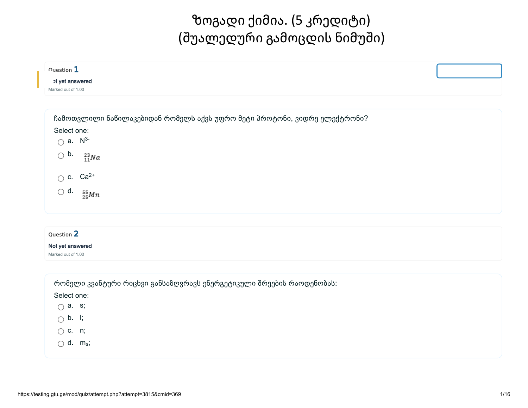# ზოგადი ქიმია. (5 კრედიტი) (შუალედური გამოცდის ნიმუში)

| $\sim$ uestion $\mathbf 1$<br>ot yet answered<br>Marked out of 1.00                                                                           |                                                                          |  |
|-----------------------------------------------------------------------------------------------------------------------------------------------|--------------------------------------------------------------------------|--|
| Select one:<br>$\bigcirc$ a. $N^{3-}$<br>$\bigcirc$ b.<br>$^{23}_{11}Na$<br>$\bigcirc$ c. Ca <sup>2+</sup><br>$\bigcirc$ d.<br>$^{55}_{25}Mn$ | ჩამოთვლილი ნაწილაკებიდან რომელს აქვს უფრო მეტი პროტონი, ვიდრე ელექტრონი? |  |
| Question 2<br>Not yet answered<br>Marked out of 1.00<br>Select one:                                                                           | რომელი კვანტური რიცხვი განსაზღვრავს ენერგეტიკული შრეების რაოდენობას:     |  |

 $\bigcirc$  b. l;

c. n;

 $\bigcirc$  d. m<sub>s</sub>;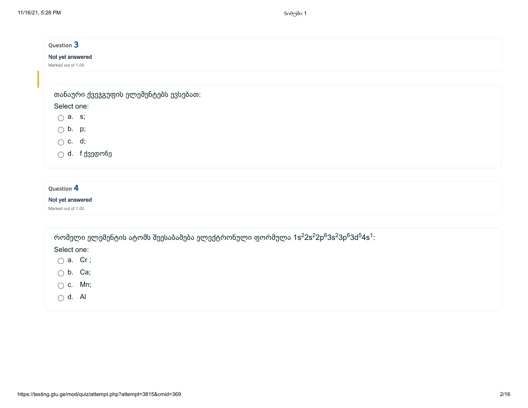| Not yet answered<br>თანაური ქვეჯგუფის ელემენტებს ევსებათ:<br>Select one:<br>$\bigcirc$ a. s;<br>$\bigcirc$ b. p;<br>$\bigcirc$ c. d; |  |
|--------------------------------------------------------------------------------------------------------------------------------------|--|
| Marked out of 1.00                                                                                                                   |  |
|                                                                                                                                      |  |
|                                                                                                                                      |  |
|                                                                                                                                      |  |
|                                                                                                                                      |  |
|                                                                                                                                      |  |
|                                                                                                                                      |  |
|                                                                                                                                      |  |
| $\bigcirc$ d. f ქვედონე                                                                                                              |  |

### Not yet answered

Marked out of 1.00

| რომელი ელემენტის ატომს შეესაბამება ელექტრონული ფორმულა 1s ${}^{2}$ 2s ${}^{2}$ 2p ${}^{6}$ 3s ${}^{2}$ 3p ${}^{6}$ 3d ${}^{5}$ 4s ${}^{1}$ : |  |  |
|----------------------------------------------------------------------------------------------------------------------------------------------|--|--|
|                                                                                                                                              |  |  |

- $\bigcirc$  a. Cr;
- $\bigcirc$  b. Ca;
- $\bigcirc$  c. Mn;
- $\bigcirc$  d. Al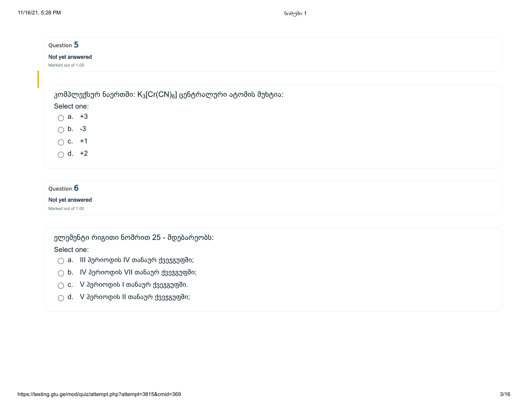| Question 5                                                                          |  |  |
|-------------------------------------------------------------------------------------|--|--|
| Not yet answered                                                                    |  |  |
| Marked out of 1.00                                                                  |  |  |
|                                                                                     |  |  |
|                                                                                     |  |  |
| კომპლექსურ ნაერთში: K <sub>3</sub> [Cr(CN) <sub>6</sub> ] ცენტრალური ატომის მუხტია: |  |  |
| Select one:                                                                         |  |  |
| $\bigcirc$ a. +3                                                                    |  |  |
| $\bigcirc$ b. -3                                                                    |  |  |
|                                                                                     |  |  |
| $\bigcirc$ c. +1                                                                    |  |  |
| $\bigcirc$ d. +2                                                                    |  |  |
|                                                                                     |  |  |

### Not yet answered

Marked out of 1.00

ელემენტი რიგითი ნომრით 25 - მდებარეობს: Select one:

- $\bigcirc$  a. III პერიოდის IV თანაურ ქვეჯგუფში;
- $\bigcirc$  b. IV პერიოდის VII თანაურ ქვეჯგუფში;
- $\bigcirc$  c. V პერიოდის I თანაურ ქვეჯგუფში.
- $\bigcirc$  d. V პერიოდის II თანაურ ქვეჯგუფში;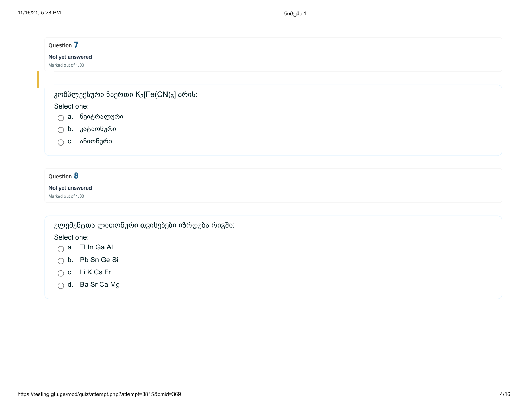| Question 7                                                     |  |  |
|----------------------------------------------------------------|--|--|
| Not yet answered                                               |  |  |
| Marked out of 1.00                                             |  |  |
| კომპლექსური ნაერთი K <sub>3</sub> [Fe(CN) <sub>6</sub> ] არის: |  |  |
| Select one:                                                    |  |  |
| ნეიტრალური<br>$\bigcirc$ a.                                    |  |  |
| $\bigcirc$ ხ. კატიონური                                        |  |  |
| ანიონური<br>$\bigcirc$ c.                                      |  |  |
|                                                                |  |  |
| Question 8                                                     |  |  |
| Not yet answered                                               |  |  |
| Marked out of 1.00                                             |  |  |
| ელემენტთა ლითონური თვისებები იზრდება რიგში:                    |  |  |
| Select one:                                                    |  |  |
| $\bigcirc$ a. TI In Ga AI                                      |  |  |
| $\bigcirc$ b. Pb Sn Ge Si                                      |  |  |
| $\bigcirc$ c. LiKCs Fr                                         |  |  |
| $\bigcirc$ d. Ba Sr Ca Mg                                      |  |  |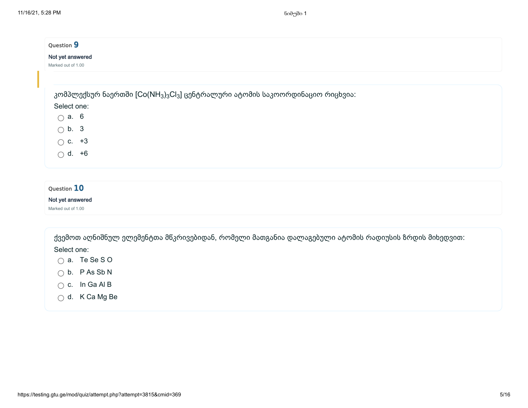| Question 9                                       |                                                                                                                  |  |  |
|--------------------------------------------------|------------------------------------------------------------------------------------------------------------------|--|--|
| Not yet answered                                 |                                                                                                                  |  |  |
| Marked out of 1.00                               |                                                                                                                  |  |  |
|                                                  |                                                                                                                  |  |  |
|                                                  | კომპლექსურ ნაერთში [Co(NH <sub>3</sub> ) <sub>3</sub> Cl <sub>3</sub> ] ცენტრალური ატომის საკოორდინაციო რიცხვია: |  |  |
| Select one:                                      |                                                                                                                  |  |  |
| $\bigcap$ a. 6                                   |                                                                                                                  |  |  |
| $\bigcirc$ b. 3                                  |                                                                                                                  |  |  |
| $\bigcirc$ c. +3                                 |                                                                                                                  |  |  |
| $\bigcirc$ d. +6                                 |                                                                                                                  |  |  |
|                                                  |                                                                                                                  |  |  |
|                                                  |                                                                                                                  |  |  |
| <b>10</b><br>the contract of the contract of the |                                                                                                                  |  |  |

### Not yet answered

Marked out of 1.00

ქვემოთ აღნიშნულ ელემენტთა მწკრივებიდან, რომელი მათგანია დალაგებული ატომის რადიუსის ზრდის მიხედვით:

- a. Te Se S O
- $\bigcirc$  b. P As Sb N
- $\bigcirc$  c. In Ga Al B
- d. K Ca Mg Be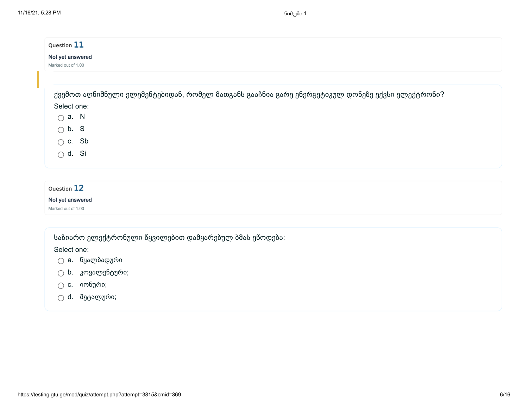| Question 11                                                                                    |  |
|------------------------------------------------------------------------------------------------|--|
| Not yet answered                                                                               |  |
| Marked out of 1.00                                                                             |  |
|                                                                                                |  |
| ქვემოთ აღნიშნული ელემენტებიდან, რომელ მათგანს გააჩნია გარე ენერგეტიკულ დონეზე ექვსი ელექტრონი? |  |
| Select one:                                                                                    |  |
| $\bigcap$ a. N                                                                                 |  |
| $\bigcirc$ b. S                                                                                |  |
| $\bigcap$ c. Sb                                                                                |  |
| $\bigcap$ d. Si                                                                                |  |
|                                                                                                |  |
| Question 12                                                                                    |  |
| Not yet answered                                                                               |  |
| Marked out of 1.00                                                                             |  |

საზიარო ელექტრონული წყვილებით დამყარებულ ბმას ეწოდება:

- a. წყალბადური
- $\bigcirc$  b. კოვალენტური;
- $\bigcirc$  c. იონური;
- $\bigcirc$  d. მეტალური;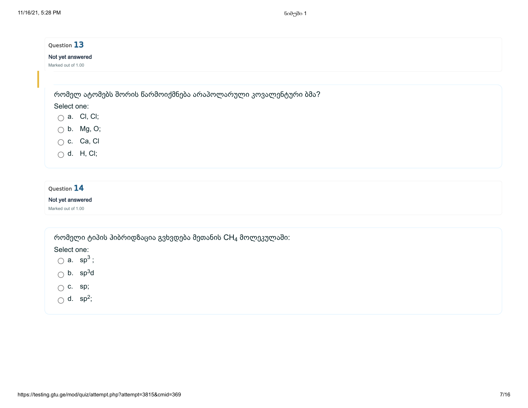| Question 13           |                                                               |  |
|-----------------------|---------------------------------------------------------------|--|
| Not yet answered      |                                                               |  |
| Marked out of 1.00    |                                                               |  |
|                       |                                                               |  |
|                       | რომელ ატომებს შორის წარმოიქმნება არაპოლარული კოვალენტური ბმა? |  |
| Select one:           |                                                               |  |
| $\bigcirc$ a. Cl, Cl; |                                                               |  |
| $\bigcirc$ b. Mg, O;  |                                                               |  |
| $\bigcirc$ c. Ca, Cl  |                                                               |  |
| $\bigcirc$ d. H, CI;  |                                                               |  |
|                       |                                                               |  |
|                       |                                                               |  |
| Question 14           |                                                               |  |
| Not yet answered      |                                                               |  |

Marked out of 1.00

რომელი ტიპის ჰიბრიდზაცია გვხვდება მეთანის  $\mathsf{CH}_4$  მოლეკულაში:

Select one:

a.  $sp^3$ ;

b.  $sp^3d$ 

 $\bigcirc$  c. sp;

d.  $sp^2$ ;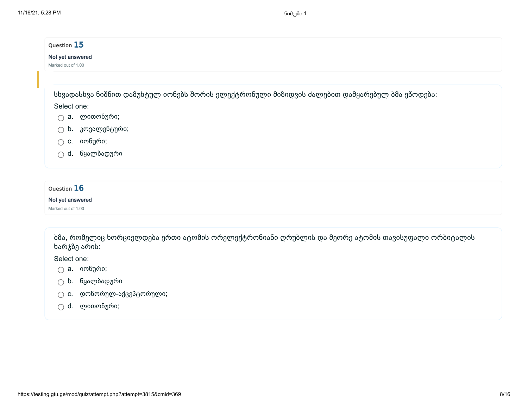| Question 15<br>Not yet answered<br>Marked out of 1.00 |                                                                                              |
|-------------------------------------------------------|----------------------------------------------------------------------------------------------|
|                                                       |                                                                                              |
|                                                       | სხვადასხვა ნიშნით დამუხტულ იონებს შორის ელექტრონული მიზიდვის ძალებით დამყარებულ ბმა ეწოდება: |
| Select one:                                           |                                                                                              |
| ∩                                                     | a. ლითონური;                                                                                 |
| b.<br>$\bigcap$                                       | კოვალენტური;                                                                                 |
| C.<br>∩                                               | იონური;                                                                                      |
| ∩                                                     | d. წყალბადური                                                                                |
|                                                       |                                                                                              |
| Question 16                                           |                                                                                              |

#### Not yet answered

Marked out of 1.00

ბმა, რომელიც ხორციელდება ერთი ატომის ორელექტრონიანი ღრუბლის და მეორე ატომის თავისუფალი ორბიტალის ხარჯზე არის:

- $\bigcirc$  a. იონური;
- b. წყალბადური
- c. დონორულ-აქცეპტორული;
- d. ლითონური;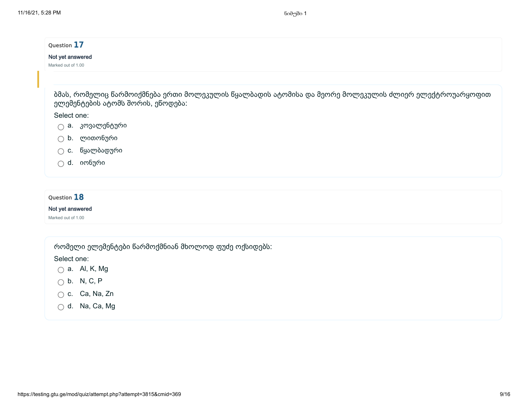| Question 17                                                                                                                               |  |
|-------------------------------------------------------------------------------------------------------------------------------------------|--|
| Not yet answered                                                                                                                          |  |
| Marked out of 1.00                                                                                                                        |  |
| ბმას, რომელიც წარმოიქმნება ერთი მოლეკულის წყალბადის ატომისა და მეორე მოლეკულის ძლიერ ელექტროუარყოფით<br>ელემენტების ატომს შორის, ეწოდება: |  |
| Select one:                                                                                                                               |  |
| a. კოვალენტური<br>$\bigcap$                                                                                                               |  |
| b. ლითონური<br>∩                                                                                                                          |  |
| c. წყალბადური                                                                                                                             |  |
| d. იონური                                                                                                                                 |  |
|                                                                                                                                           |  |
| Question 18                                                                                                                               |  |
| Not yet answered                                                                                                                          |  |
| Marked out of 1.00                                                                                                                        |  |

რომელი ელემენტები წარმოქმნიან მხოლოდ ფუძე ოქსიდებს:

Select one:

a. Al, K, Mg

- $\bigcirc$  b. N, C, P
- c. Ca, Na, Zn
- $\bigcirc$  d. Na, Ca, Mg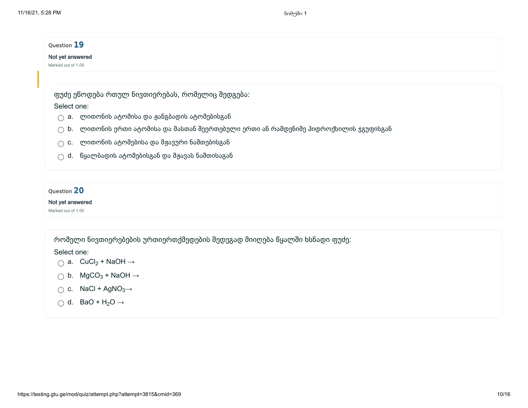| Question 19                                                                                     |  |
|-------------------------------------------------------------------------------------------------|--|
| Not yet answered                                                                                |  |
| Marked out of 1.00                                                                              |  |
|                                                                                                 |  |
| ფუძე ეწოდება რთულ ნივთიერებას, რომელიც შედგება:                                                 |  |
| Select one:                                                                                     |  |
| a. ლითონის ატომისა და ჟანგბადის ატომებისგან<br>∩                                                |  |
| $\bigcirc$ b. დითონის ერთი ატომისა და მასთან შეერთებული ერთი ან რამდენიმე ჰიდროქსილის ჯგუფისგან |  |
| c. ლითონის ატომებისა და მჟავური ნაშთებისგან                                                     |  |
| $\bigcirc$ d. $\,$ წყალბადის ატომებისგან და მჟავას ნაშთისაგან                                   |  |

### Not yet answered

Marked out of 1.00

რომელი ნივთიერებების ურთიერთქმედების შედეგად მიიღება წყალში ხსნადი ფუძე:

- a.  $CuCl<sub>2</sub> + NaOH \rightarrow$
- b.  $MgCO<sub>3</sub> + NaOH \rightarrow$
- c.  $NaCl + AgNO<sub>3</sub>\rightarrow$
- d. BaO +  $H_2O \rightarrow$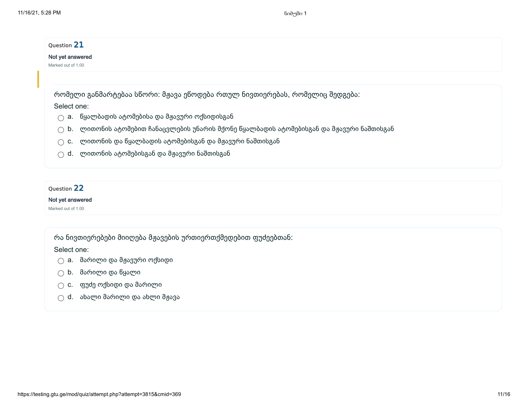| Question 21        |                                                                                                         |
|--------------------|---------------------------------------------------------------------------------------------------------|
| Not yet answered   |                                                                                                         |
| Marked out of 1.00 |                                                                                                         |
|                    |                                                                                                         |
|                    | რომელი განმარტებაა სწორი: მჟავა ეწოდება რთულ ნივთიერებას, რომელიც შედგება:                              |
| Select one:        |                                                                                                         |
|                    | a. წყალბადის ატომებისა და მჟავური ოქსიდისგან                                                            |
|                    | $\bigcirc$ b. $\;$ ლითონის ატომებით ჩანაცვლების უნარის მქონე წყალბადის ატომებისგან და მჟავური ნაშთისგან |
| C.                 | ლითონის და წყალბადის ატომებისგან და მჟავური ნაშთისგან                                                   |
| $\wedge$ d.        | ლითონის ატომებისგან და მჟავური ნაშთისგან                                                                |

### Not yet answered

Marked out of 1.00

რა ნივთიერებები მიიღება მჟავების ურთიერთქმედებით ფუძეებთან:

- $\bigcirc$  a. მარილი და მჟავური ოქსიდი
- b. მარილი და წყალი
- c. ფუძე ოქსიდი და მარილი
- $\bigcirc$  d. ახალი მარილი და ახლი მჟავა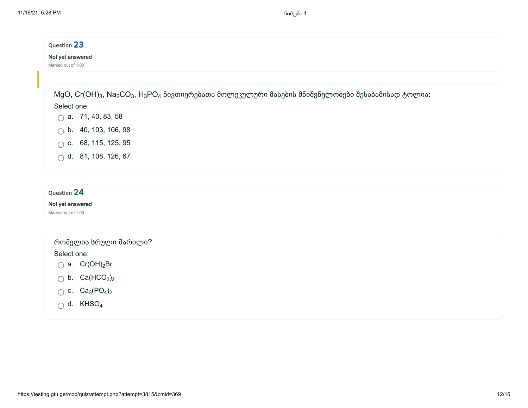# Question 23 Not yet answered Marked out of 1.00

 $\rm{MgO,~Cr(OH)_3,~Na_2CO_3,~H_3PO_4}$  ნივთიერებათა მოლეკულური მასების მნიშვნელობები შესაბამისად ტოლია:

### Select one:

- $\bigcap$  a. 71, 40, 83, 58
- $\bigcirc$  b. 40, 103, 106, 98
- $\bigcap$  c. 68, 115, 125, 95
- d. 81, 108, 126, 67

# Question 24

### Not yet answered

Marked out of 1.00

### რომელია სრული მარილი?

- a. Cr(OH)<sub>2</sub>Br
- b.  $Ca(HCO<sub>3</sub>)<sub>2</sub>$
- c.  $Ca_3(PO_4)_2$
- d. KHSO<sub>4</sub>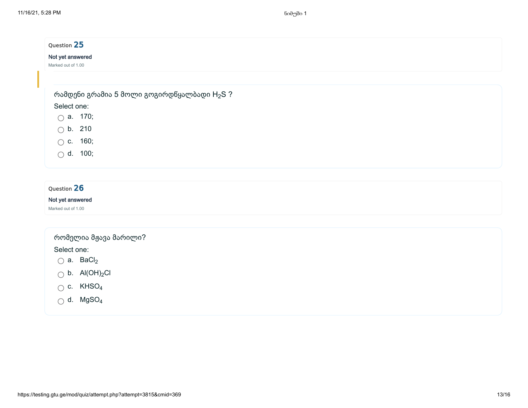| Question 25          |                                                         |  |  |
|----------------------|---------------------------------------------------------|--|--|
| Not yet answered     |                                                         |  |  |
| Marked out of 1.00   |                                                         |  |  |
|                      |                                                         |  |  |
|                      | რამდენი გრამია 5 მოლი გოგირდწყალბადი H <sub>2</sub> S ? |  |  |
| Select one:          |                                                         |  |  |
| $\bigcirc$ a. 170;   |                                                         |  |  |
| b. 210<br>$\bigcirc$ |                                                         |  |  |
| $\circ$ c. 160;      |                                                         |  |  |
| $\bigcirc$ d. 100;   |                                                         |  |  |
|                      |                                                         |  |  |
|                      |                                                         |  |  |
| Question 26          |                                                         |  |  |

### Not yet answered

Marked out of 1.00

# რომელია მჟავა მარილი?

- a. BaCl<sub>2</sub>
- b.  $\text{Al}(\text{OH})_2$ Cl
- c. KHSO 4
- d. MgSO 4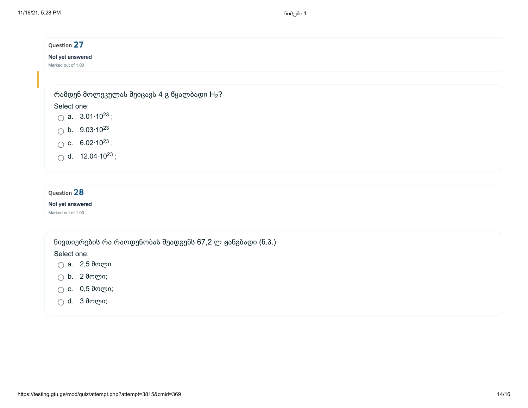| Question 27                                                 |  |  |
|-------------------------------------------------------------|--|--|
| Not yet answered                                            |  |  |
| Marked out of 1.00                                          |  |  |
|                                                             |  |  |
| რამდენ მოლეკულას შეიცავს 4 გ წყალბადი $H_2$ ?               |  |  |
| Select one:                                                 |  |  |
| $\bigcirc$ a. 3.01.10 <sup>23</sup> ;                       |  |  |
| $\circledcirc$ b. 9.03.10 <sup>23</sup>                     |  |  |
|                                                             |  |  |
| ◯ c. $6.02 \cdot 10^{23}$ ;<br>◯ d. 12.04 $\cdot 10^{23}$ ; |  |  |
|                                                             |  |  |

### Not yet answered

Marked out of 1.00

ნივთიერების რა რაოდენობას შეადგენს 67,2 ლ ჟანგბადი (ნ.პ.)

Select one:

a. 2,5 მოლი

- b. 2 მოლი;
- c. 0,5 მოლი;
- d. 3 მოლი;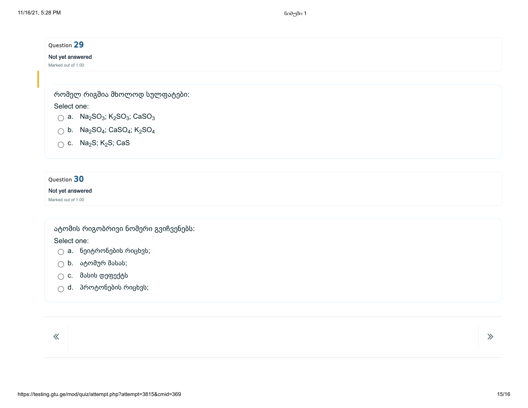| Not yet answered<br>Marked out of 1.00<br>რომელ რიგშია მხოლოდ სულფატები:<br>Select one:<br>$\bigcirc$ a. Na <sub>2</sub> SO <sub>3</sub> ; K <sub>2</sub> SO <sub>3</sub> ; CaSO <sub>3</sub><br>$\bigcirc$ b. Na <sub>2</sub> SO <sub>4</sub> ; CaSO <sub>4</sub> ; K <sub>2</sub> SO <sub>4</sub><br>$\bigcirc$ c. Na <sub>2</sub> S; K <sub>2</sub> S; CaS | Question 29 |  |
|---------------------------------------------------------------------------------------------------------------------------------------------------------------------------------------------------------------------------------------------------------------------------------------------------------------------------------------------------------------|-------------|--|
|                                                                                                                                                                                                                                                                                                                                                               |             |  |
|                                                                                                                                                                                                                                                                                                                                                               |             |  |
|                                                                                                                                                                                                                                                                                                                                                               |             |  |
|                                                                                                                                                                                                                                                                                                                                                               |             |  |
|                                                                                                                                                                                                                                                                                                                                                               |             |  |
|                                                                                                                                                                                                                                                                                                                                                               |             |  |
|                                                                                                                                                                                                                                                                                                                                                               |             |  |
|                                                                                                                                                                                                                                                                                                                                                               |             |  |

### Not yet answered

Marked out of 1.00

# ატომის რიგობრივი ნომერი გვიჩვენებს:

Select one:

- $\bigcirc$  a. ნეიტრონების რიცხვს;
- $\bigcirc$  b. ატომურ მასას;
- c. მასის დეფექტს
- $\bigcirc$  d. პროტონების რიცხვს;

 $\overline{\mathcal{R}}$